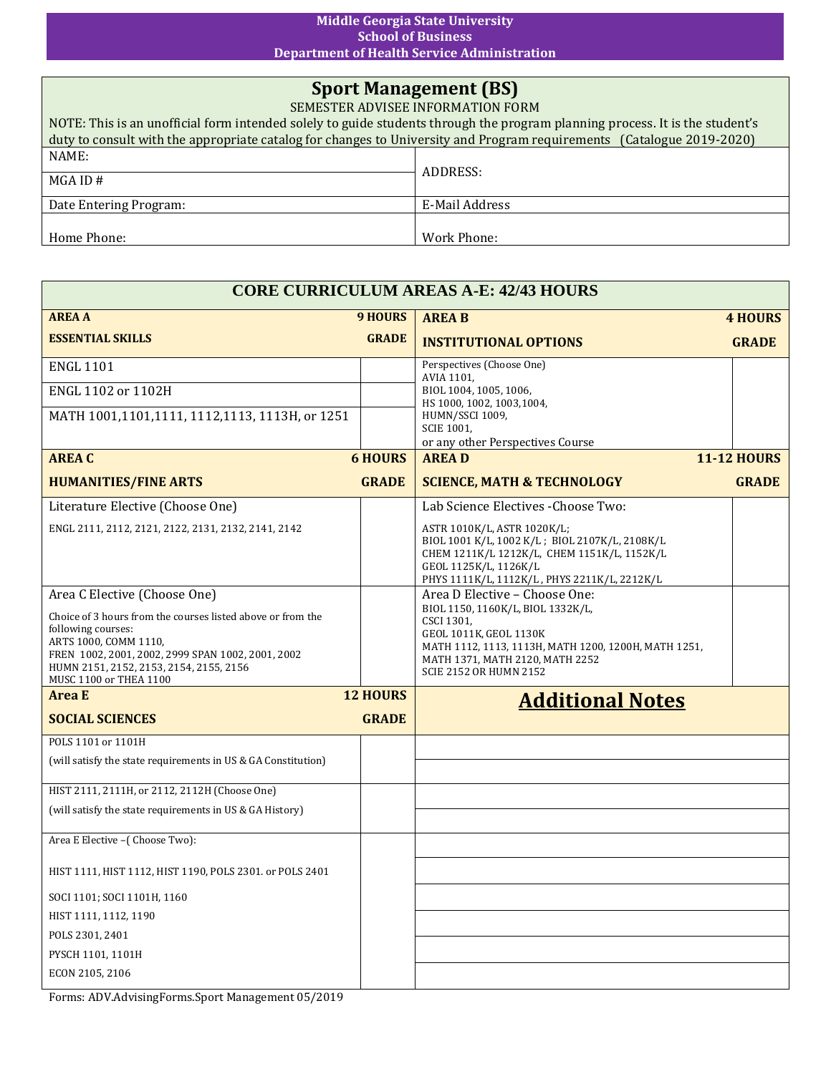## **Middle Georgia State University School of Business Department of Health Service Administration**

## **Sport Management (BS)**

SEMESTER ADVISEE INFORMATION FORM NOTE: This is an unofficial form intended solely to guide students through the program planning process. It is the student's duty to consult with the appropriate catalog for changes to University and Program requirements (Catalogue 2019-2020) NAME: MGA ID # ADDRESS: Date Entering Program: E-Mail Address Home Phone: Work Phone:

| <b>CORE CURRICULUM AREAS A-E: 42/43 HOURS</b>                                                                                                                                                                                        |                |                                                                                                                                                                                                       |                    |  |  |
|--------------------------------------------------------------------------------------------------------------------------------------------------------------------------------------------------------------------------------------|----------------|-------------------------------------------------------------------------------------------------------------------------------------------------------------------------------------------------------|--------------------|--|--|
| <b>AREA A</b>                                                                                                                                                                                                                        | <b>9 HOURS</b> | <b>AREA B</b>                                                                                                                                                                                         | <b>4 HOURS</b>     |  |  |
| <b>ESSENTIAL SKILLS</b>                                                                                                                                                                                                              | <b>GRADE</b>   | <b>INSTITUTIONAL OPTIONS</b>                                                                                                                                                                          | <b>GRADE</b>       |  |  |
| <b>ENGL 1101</b>                                                                                                                                                                                                                     |                | Perspectives (Choose One)<br>AVIA 1101.                                                                                                                                                               |                    |  |  |
| ENGL 1102 or 1102H                                                                                                                                                                                                                   |                | BIOL 1004, 1005, 1006,<br>HS 1000, 1002, 1003, 1004,                                                                                                                                                  |                    |  |  |
| MATH 1001,1101,1111, 1112,1113, 1113H, or 1251                                                                                                                                                                                       |                | HUMN/SSCI 1009,<br><b>SCIE 1001.</b><br>or any other Perspectives Course                                                                                                                              |                    |  |  |
| <b>AREA C</b>                                                                                                                                                                                                                        | <b>6 HOURS</b> | <b>AREAD</b>                                                                                                                                                                                          | <b>11-12 HOURS</b> |  |  |
| <b>HUMANITIES/FINE ARTS</b>                                                                                                                                                                                                          | <b>GRADE</b>   | <b>SCIENCE, MATH &amp; TECHNOLOGY</b>                                                                                                                                                                 | <b>GRADE</b>       |  |  |
| Literature Elective (Choose One)                                                                                                                                                                                                     |                | Lab Science Electives - Choose Two:                                                                                                                                                                   |                    |  |  |
| ENGL 2111, 2112, 2121, 2122, 2131, 2132, 2141, 2142                                                                                                                                                                                  |                | ASTR 1010K/L, ASTR 1020K/L;<br>BIOL 1001 K/L, 1002 K/L; BIOL 2107K/L, 2108K/L<br>CHEM 1211K/L 1212K/L, CHEM 1151K/L, 1152K/L<br>GEOL 1125K/L, 1126K/L<br>PHYS 1111K/L, 1112K/L, PHYS 2211K/L, 2212K/L |                    |  |  |
| Area C Elective (Choose One)                                                                                                                                                                                                         |                | Area D Elective - Choose One:                                                                                                                                                                         |                    |  |  |
| Choice of 3 hours from the courses listed above or from the<br>following courses:<br>ARTS 1000, COMM 1110,<br>FREN 1002, 2001, 2002, 2999 SPAN 1002, 2001, 2002<br>HUMN 2151, 2152, 2153, 2154, 2155, 2156<br>MUSC 1100 or THEA 1100 |                | BIOL 1150, 1160K/L, BIOL 1332K/L,<br>CSCI 1301,<br>GEOL 1011K, GEOL 1130K<br>MATH 1112, 1113, 1113H, MATH 1200, 1200H, MATH 1251,<br>MATH 1371, MATH 2120, MATH 2252<br><b>SCIE 2152 OR HUMN 2152</b> |                    |  |  |
| <b>Area E</b><br><b>12 HOURS</b>                                                                                                                                                                                                     |                | <b>Additional Notes</b>                                                                                                                                                                               |                    |  |  |
| <b>SOCIAL SCIENCES</b>                                                                                                                                                                                                               | <b>GRADE</b>   |                                                                                                                                                                                                       |                    |  |  |
| POLS 1101 or 1101H                                                                                                                                                                                                                   |                |                                                                                                                                                                                                       |                    |  |  |
| (will satisfy the state requirements in US & GA Constitution)                                                                                                                                                                        |                |                                                                                                                                                                                                       |                    |  |  |
| HIST 2111, 2111H, or 2112, 2112H (Choose One)                                                                                                                                                                                        |                |                                                                                                                                                                                                       |                    |  |  |
| (will satisfy the state requirements in US & GA History)                                                                                                                                                                             |                |                                                                                                                                                                                                       |                    |  |  |
| Area E Elective -(Choose Two):                                                                                                                                                                                                       |                |                                                                                                                                                                                                       |                    |  |  |
| HIST 1111, HIST 1112, HIST 1190, POLS 2301. or POLS 2401                                                                                                                                                                             |                |                                                                                                                                                                                                       |                    |  |  |
| SOCI 1101; SOCI 1101H, 1160                                                                                                                                                                                                          |                |                                                                                                                                                                                                       |                    |  |  |
| HIST 1111, 1112, 1190                                                                                                                                                                                                                |                |                                                                                                                                                                                                       |                    |  |  |
| POLS 2301, 2401                                                                                                                                                                                                                      |                |                                                                                                                                                                                                       |                    |  |  |
| PYSCH 1101, 1101H                                                                                                                                                                                                                    |                |                                                                                                                                                                                                       |                    |  |  |
| ECON 2105, 2106                                                                                                                                                                                                                      |                |                                                                                                                                                                                                       |                    |  |  |
| Forms: ADV.AdvisingForms.Sport Management 05/2019                                                                                                                                                                                    |                |                                                                                                                                                                                                       |                    |  |  |